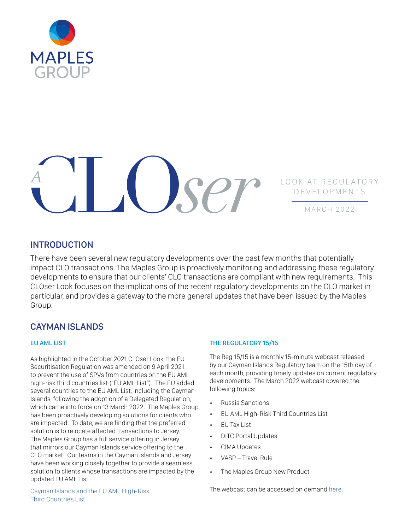



MARCH 2022

# INTRODUCTION

There have been several new regulatory developments over the past few months that potentially impact CLO transactions. The Maples Group is proactively monitoring and addressing these regulatory developments to ensure that our clients' CLO transactions are compliant with new requirements. This CLOser Look focuses on the implications of the recent regulatory developments on the CLO market in particular, and provides a gateway to the more general updates that have been issued by the Maples Group.

# CAYMAN ISLANDS

### EU AML LIST

As highlighted in the October 2021 CLOser Look, the EU Securitisation Regulation was amended on 9 April 2021 to prevent the use of SPVs from countries on the EU AML high-risk third countries list ("EU AML List"). The EU added several countries to the EU AML List, including the Cayman Islands, following the adoption of a Delegated Regulation, which came into force on 13 March 2022. The Maples Group has been proactively developing solutions for clients who are impacted. To date, we are finding that the preferred solution is to relocate affected transactions to Jersey. The Maples Group has a full service offering in Jersey that mirrors our Cayman Islands service offering to the CLO market. Our teams in the Cayman Islands and Jersey have been working closely together to provide a seamless solution to clients whose transactions are impacted by the updated EU AML List.

### THE REGULATORY 15/15

The Reg 15/15 is a monthly 15-minute webcast released by our Cayman Islands Regulatory team on the 15th day of each month, providing timely updates on current regulatory developments. The March 2022 webcast covered the following topics:

- Russia Sanctions
- EU AML High-Risk Third Countries List
- EU Tax List
- DITC Portal Updates
- CIMA Updates
- VASP Travel Rule
- The Maples Group New Product

[Cayman Islands and the EU AML High-Risk](https://maples.com/en/knowledge-centre/2022/1/cayman-islands-and-the-eu-aml-high-risk-third-countries-list)  [Third Countries List](https://maples.com/en/knowledge-centre/2022/1/cayman-islands-and-the-eu-aml-high-risk-third-countries-list)

The webcast can be accessed on demand [here.](https://maples.com/en/knowledge-centre/2022/3/the-regulatory-1515-march-2022)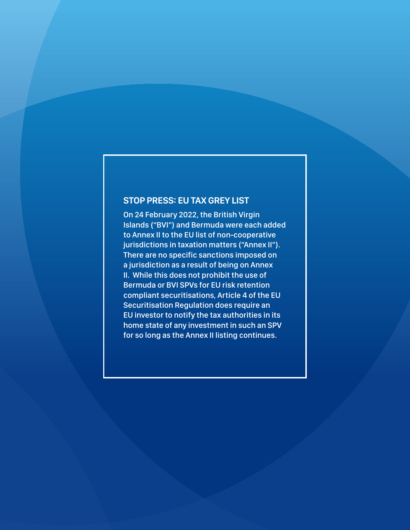# **STOP PRESS: EU TAX GREY LIST**

On 24 February 2022, the British Virgin Islands ("BVI") and Bermuda were each added to Annex II to the EU list of non-cooperative jurisdictions in taxation matters ("Annex II"). There are no specific sanctions imposed on a jurisdiction as a result of being on Annex II. While this does not prohibit the use of Bermuda or BVI SPVs for EU risk retention compliant securitisations, Article 4 of the EU Securitisation Regulation does require an EU investor to notify the tax authorities in its home state of any investment in such an SPV for so long as the Annex II listing continues.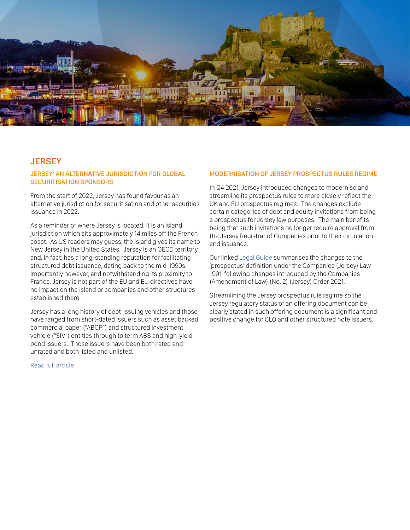

## **JERSEY**

### JERSEY: AN ALTERNATIVE JURISDICTION FOR GLOBAL SECURITISATION SPONSORS

From the start of 2022, Jersey has found favour as an alternative jurisdiction for securitisation and other securities issuance in 2022.

As a reminder of where Jersey is located: it is an island jurisdiction which sits approximately 14 miles off the French coast. As US readers may guess, the island gives its name to New Jersey in the United States. Jersey is an OECD territory and, in fact, has a long-standing reputation for facilitating structured debt issuance, dating back to the mid-1990s. Importantly however, and notwithstanding its proximity to France, Jersey is not part of the EU and EU directives have no impact on the island or companies and other structures established there.

Jersey has a long history of debt-issuing vehicles and those have ranged from short-dated issuers such as asset backed commercial paper ("ABCP") and structured investment vehicle ("SIV") entities through to term ABS and high-yield bond issuers. Those issuers have been both rated and unrated and both listed and unlisted.

MODERNISATION OF JERSEY PROSPECTUS RULES REGIME

In Q4 2021, Jersey introduced changes to modernise and streamline its prospectus rules to more closely reflect the UK and EU prospectus regimes. The changes exclude certain categories of debt and equity invitations from being a prospectus for Jersey law purposes. The main benefits being that such invitations no longer require approval from the Jersey Registrar of Companies prior to their circulation and issuance.

Our linked [Legal Guide](https://maples.com/en/knowledge-centre/legal-guides) summarises the changes to the 'prospectus' definition under the Companies (Jersey) Law 1991, following changes introduced by the Companies (Amendment of Law) (No. 2) (Jersey) Order 2021.

Streamlining the Jersey prospectus rule regime so the Jersey regulatory status of an offering document can be clearly stated in such offering document is a significant and positive change for CLO and other structured note issuers.

[Read full article](https://maples.com/en/knowledge-centre/2022/3/jersey-an-alternative-jurisdiction-for-global-securitisation-sponsors)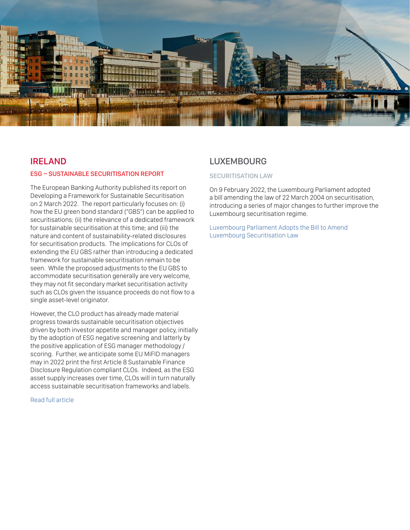

### IRELAND

#### ESG – SUSTAINABLE SECURITISATION REPORT

The European Banking Authority published its report on Developing a Framework for Sustainable Securitisation on 2 March 2022. The report particularly focuses on: (i) how the EU green bond standard ("GBS") can be applied to securitisations; (ii) the relevance of a dedicated framework for sustainable securitisation at this time; and (iii) the nature and content of sustainability-related disclosures for securitisation products. The implications for CLOs of extending the EU GBS rather than introducing a dedicated framework for sustainable securitisation remain to be seen. While the proposed adjustments to the EU GBS to accommodate securitisation generally are very welcome, they may not fit secondary market securitisation activity such as CLOs given the issuance proceeds do not flow to a single asset-level originator.

However, the CLO product has already made material progress towards sustainable securitisation objectives driven by both investor appetite and manager policy, initially by the adoption of ESG negative screening and latterly by the positive application of ESG manager methodology / scoring. Further, we anticipate some EU MiFID managers may in 2022 print the first Article 8 Sustainable Finance Disclosure Regulation compliant CLOs. Indeed, as the ESG asset supply increases over time, CLOs will in turn naturally access sustainable securitisation frameworks and labels.

#### [Read full article](https://maples.com/en/knowledge-centre/2022/3/esg-sustainable-securitisation-report)

### LUXEMBOURG

#### SECURITISATION LAW

On 9 February 2022, the Luxembourg Parliament adopted a bill amending the law of 22 March 2004 on securitisation, introducing a series of major changes to further improve the Luxembourg securitisation regime.

[Luxembourg Parliament Adopts the Bill to Amend](https://maples.com/en/knowledge-centre/2022/2/luxembourg-parliament-adopts-the-bill-to-amend-luxembourg-securitisation-law)  [Luxembourg Securitisation Law](https://maples.com/en/knowledge-centre/2022/2/luxembourg-parliament-adopts-the-bill-to-amend-luxembourg-securitisation-law)